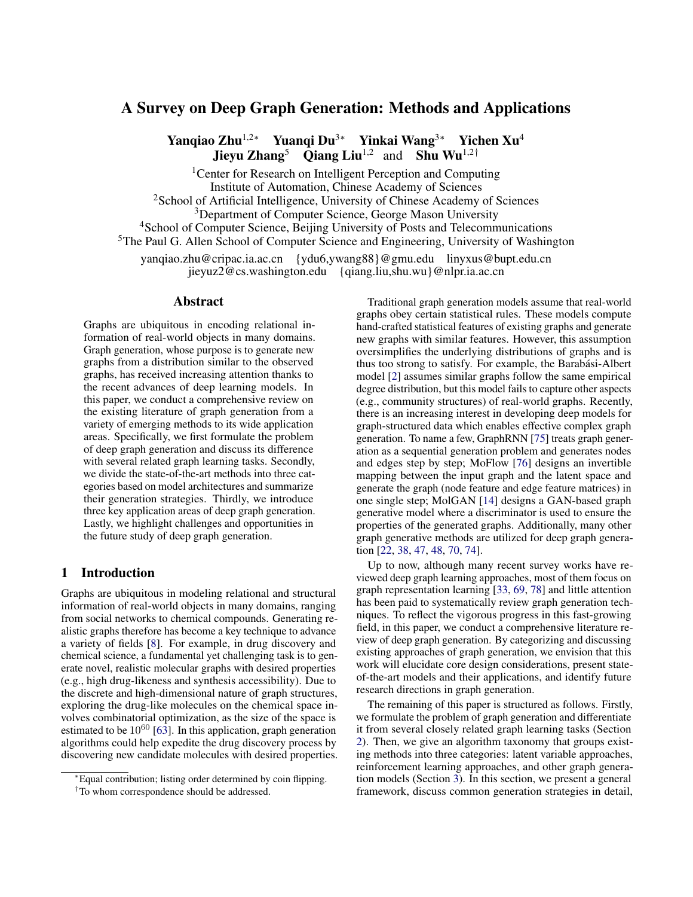# A Survey on Deep Graph Generation: Methods and Applications

Yanqiao Zhu<sup>1,2∗</sup> Yuanqi Du<sup>3∗</sup> Yinkai Wang<sup>3∗</sup> Yichen Xu<sup>4</sup> **Jieyu Zhang<sup>5</sup>** Qiang Liu<sup>1,2</sup> and Shu Wu<sup>1,2†</sup>

<sup>1</sup> Center for Research on Intelligent Perception and Computing Institute of Automation, Chinese Academy of Sciences

<sup>2</sup>School of Artificial Intelligence, University of Chinese Academy of Sciences

<sup>3</sup>Department of Computer Science, George Mason University

<sup>4</sup>School of Computer Science, Beijing University of Posts and Telecommunications

<sup>5</sup>The Paul G. Allen School of Computer Science and Engineering, University of Washington

yanqiao.zhu@cripac.ia.ac.cn {ydu6,ywang88}@gmu.edu linyxus@bupt.edu.cn jieyuz2@cs.washington.edu {qiang.liu,shu.wu}@nlpr.ia.ac.cn

### Abstract

Graphs are ubiquitous in encoding relational information of real-world objects in many domains. Graph generation, whose purpose is to generate new graphs from a distribution similar to the observed graphs, has received increasing attention thanks to the recent advances of deep learning models. In this paper, we conduct a comprehensive review on the existing literature of graph generation from a variety of emerging methods to its wide application areas. Specifically, we first formulate the problem of deep graph generation and discuss its difference with several related graph learning tasks. Secondly, we divide the state-of-the-art methods into three categories based on model architectures and summarize their generation strategies. Thirdly, we introduce three key application areas of deep graph generation. Lastly, we highlight challenges and opportunities in the future study of deep graph generation.

# 1 Introduction

Graphs are ubiquitous in modeling relational and structural information of real-world objects in many domains, ranging from social networks to chemical compounds. Generating realistic graphs therefore has become a key technique to advance a variety of fields [\[8\]](#page-6-0). For example, in drug discovery and chemical science, a fundamental yet challenging task is to generate novel, realistic molecular graphs with desired properties (e.g., high drug-likeness and synthesis accessibility). Due to the discrete and high-dimensional nature of graph structures, exploring the drug-like molecules on the chemical space involves combinatorial optimization, as the size of the space is estimated to be  $10^{60}$  [\[63\]](#page-7-0). In this application, graph generation algorithms could help expedite the drug discovery process by discovering new candidate molecules with desired properties.

Traditional graph generation models assume that real-world graphs obey certain statistical rules. These models compute hand-crafted statistical features of existing graphs and generate new graphs with similar features. However, this assumption oversimplifies the underlying distributions of graphs and is thus too strong to satisfy. For example, the Barabási-Albert model [\[2\]](#page-6-1) assumes similar graphs follow the same empirical degree distribution, but this model fails to capture other aspects (e.g., community structures) of real-world graphs. Recently, there is an increasing interest in developing deep models for graph-structured data which enables effective complex graph generation. To name a few, GraphRNN [\[75\]](#page-8-0) treats graph generation as a sequential generation problem and generates nodes and edges step by step; MoFlow [\[76\]](#page-8-1) designs an invertible mapping between the input graph and the latent space and generate the graph (node feature and edge feature matrices) in one single step; MolGAN [\[14\]](#page-6-2) designs a GAN-based graph generative model where a discriminator is used to ensure the properties of the generated graphs. Additionally, many other graph generative methods are utilized for deep graph generation [\[22,](#page-6-3) [38,](#page-7-1) [47,](#page-7-2) [48,](#page-7-3) [70,](#page-8-2) [74\]](#page-8-3).

Up to now, although many recent survey works have reviewed deep graph learning approaches, most of them focus on graph representation learning [\[33,](#page-7-4) [69,](#page-8-4) [78\]](#page-8-5) and little attention has been paid to systematically review graph generation techniques. To reflect the vigorous progress in this fast-growing field, in this paper, we conduct a comprehensive literature review of deep graph generation. By categorizing and discussing existing approaches of graph generation, we envision that this work will elucidate core design considerations, present stateof-the-art models and their applications, and identify future research directions in graph generation.

The remaining of this paper is structured as follows. Firstly, we formulate the problem of graph generation and differentiate it from several closely related graph learning tasks (Section [2\)](#page-1-0). Then, we give an algorithm taxonomy that groups existing methods into three categories: latent variable approaches, reinforcement learning approaches, and other graph generation models (Section [3\)](#page-1-1). In this section, we present a general framework, discuss common generation strategies in detail,

<sup>∗</sup>Equal contribution; listing order determined by coin flipping.

<sup>†</sup>To whom correspondence should be addressed.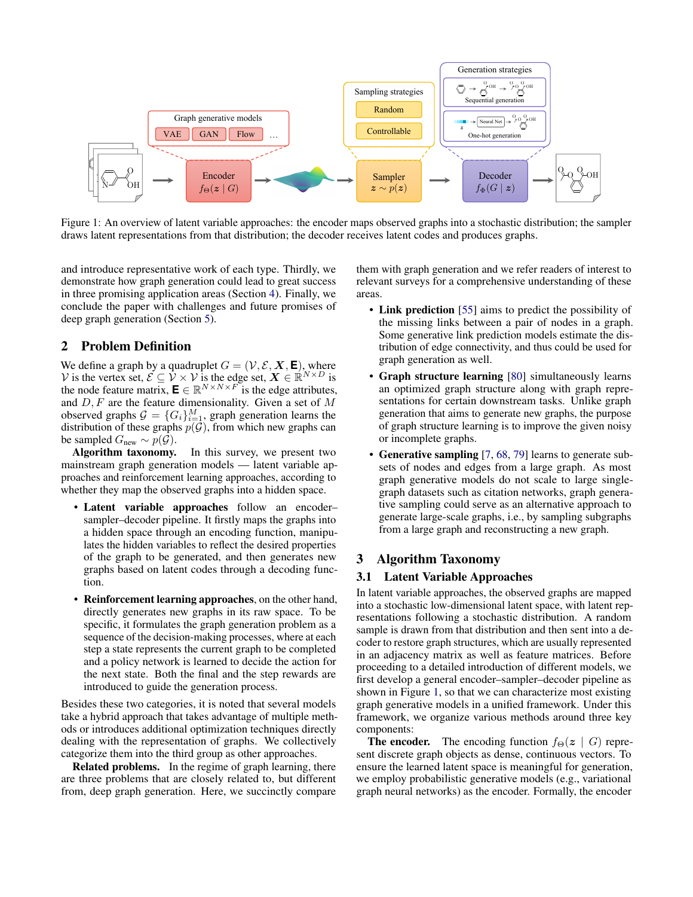

Figure 1: An overview of latent variable approaches: the encoder maps observed graphs into a stochastic distribution; the sampler draws latent representations from that distribution; the decoder receives latent codes and produces graphs.

and introduce representative work of each type. Thirdly, we demonstrate how graph generation could lead to great success in three promising application areas (Section [4\)](#page-4-0). Finally, we conclude the paper with challenges and future promises of deep graph generation (Section [5\)](#page-5-0).

# <span id="page-1-0"></span>2 Problem Definition

We define a graph by a quadruplet  $G = (\mathcal{V}, \mathcal{E}, \mathbf{X}, \mathbf{E})$ , where V is the vertex set,  $\mathcal{E} \subseteq \mathcal{V} \times \mathcal{V}$  is the edge set,  $\mathbf{X} \in \mathbb{R}^{N \times N}$  is the node feature matrix,  $\mathbf{E} \in \mathbb{R}^{N \times N \times F}$  is the edge attributes, and  $D, F$  are the feature dimensionality. Given a set of  $M$ observed graphs  $G = \{G_i\}_{i=1}^M$ , graph generation learns the distribution of these graphs  $p(\mathcal{G})$ , from which new graphs can be sampled  $G_{\text{new}} \sim p(\mathcal{G})$ .

Algorithm taxonomy. In this survey, we present two mainstream graph generation models — latent variable approaches and reinforcement learning approaches, according to whether they map the observed graphs into a hidden space.

- Latent variable approaches follow an encoder– sampler–decoder pipeline. It firstly maps the graphs into a hidden space through an encoding function, manipulates the hidden variables to reflect the desired properties of the graph to be generated, and then generates new graphs based on latent codes through a decoding function.
- Reinforcement learning approaches, on the other hand, directly generates new graphs in its raw space. To be specific, it formulates the graph generation problem as a sequence of the decision-making processes, where at each step a state represents the current graph to be completed and a policy network is learned to decide the action for the next state. Both the final and the step rewards are introduced to guide the generation process.

Besides these two categories, it is noted that several models take a hybrid approach that takes advantage of multiple methods or introduces additional optimization techniques directly dealing with the representation of graphs. We collectively categorize them into the third group as other approaches.

Related problems. In the regime of graph learning, there are three problems that are closely related to, but different from, deep graph generation. Here, we succinctly compare <span id="page-1-2"></span>them with graph generation and we refer readers of interest to relevant surveys for a comprehensive understanding of these areas.

- Link prediction [\[55\]](#page-7-5) aims to predict the possibility of the missing links between a pair of nodes in a graph. Some generative link prediction models estimate the distribution of edge connectivity, and thus could be used for graph generation as well.
- Graph structure learning [\[80\]](#page-8-6) simultaneously learns an optimized graph structure along with graph representations for certain downstream tasks. Unlike graph generation that aims to generate new graphs, the purpose of graph structure learning is to improve the given noisy or incomplete graphs.
- Generative sampling [\[7,](#page-6-4) [68,](#page-8-7) [79\]](#page-8-8) learns to generate subsets of nodes and edges from a large graph. As most graph generative models do not scale to large singlegraph datasets such as citation networks, graph generative sampling could serve as an alternative approach to generate large-scale graphs, i.e., by sampling subgraphs from a large graph and reconstructing a new graph.

# <span id="page-1-1"></span>3 Algorithm Taxonomy

# 3.1 Latent Variable Approaches

In latent variable approaches, the observed graphs are mapped into a stochastic low-dimensional latent space, with latent representations following a stochastic distribution. A random sample is drawn from that distribution and then sent into a decoder to restore graph structures, which are usually represented in an adjacency matrix as well as feature matrices. Before proceeding to a detailed introduction of different models, we first develop a general encoder–sampler–decoder pipeline as shown in Figure [1,](#page-1-2) so that we can characterize most existing graph generative models in a unified framework. Under this framework, we organize various methods around three key components:

**The encoder.** The encoding function  $f_{\Theta}(z \mid G)$  represent discrete graph objects as dense, continuous vectors. To ensure the learned latent space is meaningful for generation, we employ probabilistic generative models (e.g., variational graph neural networks) as the encoder. Formally, the encoder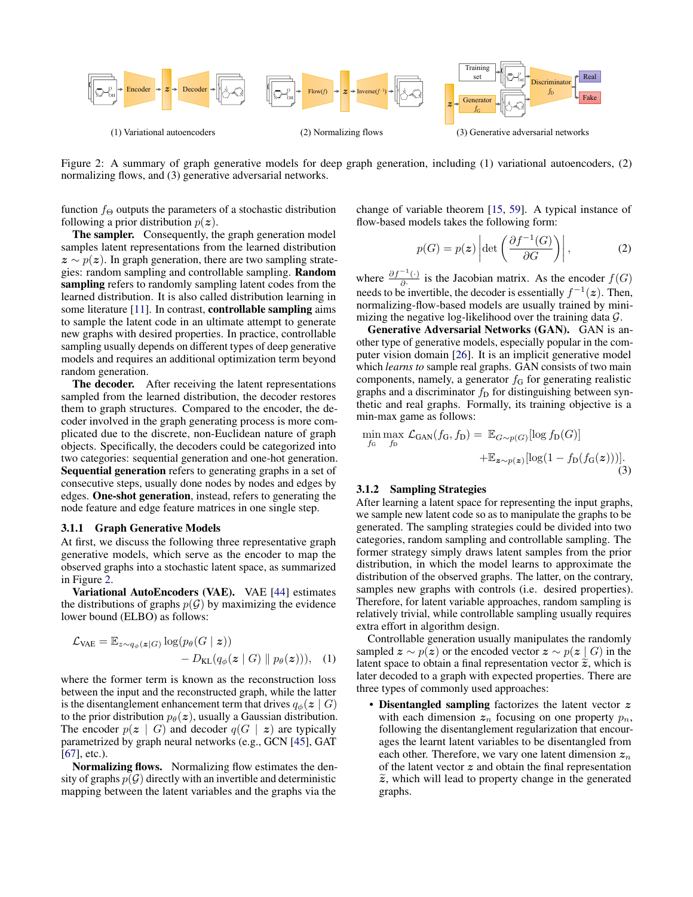

Figure 2: A summary of graph generative models for deep graph generation, including (1) variational autoencoders, (2) normalizing flows, and (3) generative adversarial networks.

function  $f_{\Theta}$  outputs the parameters of a stochastic distribution following a prior distribution  $p(z)$ .

The sampler. Consequently, the graph generation model samples latent representations from the learned distribution  $z \sim p(z)$ . In graph generation, there are two sampling strategies: random sampling and controllable sampling. Random sampling refers to randomly sampling latent codes from the learned distribution. It is also called distribution learning in some literature [\[11\]](#page-6-5). In contrast, **controllable sampling** aims to sample the latent code in an ultimate attempt to generate new graphs with desired properties. In practice, controllable sampling usually depends on different types of deep generative models and requires an additional optimization term beyond random generation.

The decoder. After receiving the latent representations sampled from the learned distribution, the decoder restores them to graph structures. Compared to the encoder, the decoder involved in the graph generating process is more complicated due to the discrete, non-Euclidean nature of graph objects. Specifically, the decoders could be categorized into two categories: sequential generation and one-hot generation. Sequential generation refers to generating graphs in a set of consecutive steps, usually done nodes by nodes and edges by edges. One-shot generation, instead, refers to generating the node feature and edge feature matrices in one single step.

#### 3.1.1 Graph Generative Models

At first, we discuss the following three representative graph generative models, which serve as the encoder to map the observed graphs into a stochastic latent space, as summarized in Figure [2.](#page-2-0)

Variational AutoEncoders (VAE). VAE [\[44\]](#page-7-6) estimates the distributions of graphs  $p(G)$  by maximizing the evidence lower bound (ELBO) as follows:

$$
\mathcal{L}_{\text{VAE}} = \mathbb{E}_{z \sim q_{\phi}(z|G)} \log(p_{\theta}(G | z)) - D_{\text{KL}}(q_{\phi}(z | G) || p_{\theta}(z))), \quad (1)
$$

where the former term is known as the reconstruction loss between the input and the reconstructed graph, while the latter is the disentanglement enhancement term that drives  $q_{\phi}(z \mid G)$ to the prior distribution  $p_{\theta}(z)$ , usually a Gaussian distribution. The encoder  $p(z | G)$  and decoder  $q(G | z)$  are typically parametrized by graph neural networks (e.g., GCN [\[45\]](#page-7-7), GAT  $[67]$ , etc.).

Normalizing flows. Normalizing flow estimates the density of graphs  $p(G)$  directly with an invertible and deterministic mapping between the latent variables and the graphs via the

change of variable theorem [\[15,](#page-6-6) [59\]](#page-7-8). A typical instance of flow-based models takes the following form:

<span id="page-2-0"></span>
$$
p(G) = p(\boldsymbol{z}) \left| \det \left( \frac{\partial f^{-1}(G)}{\partial G} \right) \right|, \tag{2}
$$

where  $\frac{\partial f^{-1}(\cdot)}{\partial x}$  $\frac{(\cdot)}{\partial \cdot}$  is the Jacobian matrix. As the encoder  $f(G)$ needs to be invertible, the decoder is essentially  $f^{-1}(z)$ . Then, normalizing-flow-based models are usually trained by minimizing the negative log-likelihood over the training data  $G$ .

Generative Adversarial Networks (GAN). GAN is another type of generative models, especially popular in the computer vision domain [\[26\]](#page-7-9). It is an implicit generative model which *learns to* sample real graphs. GAN consists of two main components, namely, a generator  $f_G$  for generating realistic graphs and a discriminator  $f<sub>D</sub>$  for distinguishing between synthetic and real graphs. Formally, its training objective is a min-max game as follows:

$$
\min_{f_G} \max_{f_D} \mathcal{L}_{GAN}(f_G, f_D) = \mathbb{E}_{G \sim p(G)}[\log f_D(G)] + \mathbb{E}_{\mathbf{z} \sim p(\mathbf{z})}[\log(1 - f_D(f_G(\mathbf{z})))].
$$
\n(3)

#### 3.1.2 Sampling Strategies

After learning a latent space for representing the input graphs, we sample new latent code so as to manipulate the graphs to be generated. The sampling strategies could be divided into two categories, random sampling and controllable sampling. The former strategy simply draws latent samples from the prior distribution, in which the model learns to approximate the distribution of the observed graphs. The latter, on the contrary, samples new graphs with controls (i.e. desired properties). Therefore, for latent variable approaches, random sampling is relatively trivial, while controllable sampling usually requires extra effort in algorithm design.

Controllable generation usually manipulates the randomly sampled  $z \sim p(z)$  or the encoded vector  $z \sim p(z \mid G)$  in the latent space to obtain a final representation vector  $\tilde{z}$ , which is later decoded to a graph with expected properties. There are three types of commonly used approaches:

• Disentangled sampling factorizes the latent vector z with each dimension  $z_n$  focusing on one property  $p_n$ , following the disentanglement regularization that encourages the learnt latent variables to be disentangled from each other. Therefore, we vary one latent dimension  $z_n$ of the latent vector  $z$  and obtain the final representation  $\widetilde{z}$ , which will lead to property change in the generated graphs.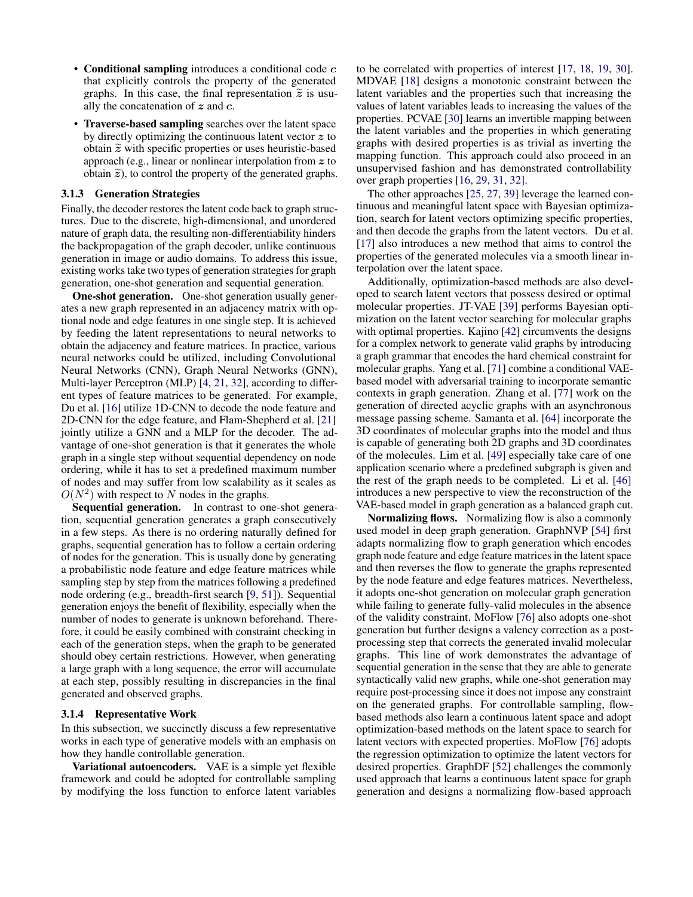- Conditional sampling introduces a conditional code  $c$ that explicitly controls the property of the generated graphs. In this case, the final representation  $\tilde{z}$  is usually the concatenation of  $z$  and  $c$ .
- Traverse-based sampling searches over the latent space by directly optimizing the continuous latent vector  $z$  to obtain  $\tilde{z}$  with specific properties or uses heuristic-based approach (e.g., linear or nonlinear interpolation from z to obtain  $\tilde{z}$ ), to control the property of the generated graphs.

### 3.1.3 Generation Strategies

Finally, the decoder restores the latent code back to graph structures. Due to the discrete, high-dimensional, and unordered nature of graph data, the resulting non-differentiability hinders the backpropagation of the graph decoder, unlike continuous generation in image or audio domains. To address this issue, existing works take two types of generation strategies for graph generation, one-shot generation and sequential generation.

**One-shot generation.** One-shot generation usually generates a new graph represented in an adjacency matrix with optional node and edge features in one single step. It is achieved by feeding the latent representations to neural networks to obtain the adjacency and feature matrices. In practice, various neural networks could be utilized, including Convolutional Neural Networks (CNN), Graph Neural Networks (GNN), Multi-layer Perceptron (MLP) [\[4,](#page-6-7) [21,](#page-6-8) [32\]](#page-7-10), according to different types of feature matrices to be generated. For example, Du et al. [\[16\]](#page-6-9) utilize 1D-CNN to decode the node feature and 2D-CNN for the edge feature, and Flam-Shepherd et al. [\[21\]](#page-6-8) jointly utilize a GNN and a MLP for the decoder. The advantage of one-shot generation is that it generates the whole graph in a single step without sequential dependency on node ordering, while it has to set a predefined maximum number of nodes and may suffer from low scalability as it scales as  $O(N^2)$  with respect to N nodes in the graphs.

Sequential generation. In contrast to one-shot generation, sequential generation generates a graph consecutively in a few steps. As there is no ordering naturally defined for graphs, sequential generation has to follow a certain ordering of nodes for the generation. This is usually done by generating a probabilistic node feature and edge feature matrices while sampling step by step from the matrices following a predefined node ordering (e.g., breadth-first search [\[9,](#page-6-10) [51\]](#page-7-11)). Sequential generation enjoys the benefit of flexibility, especially when the number of nodes to generate is unknown beforehand. Therefore, it could be easily combined with constraint checking in each of the generation steps, when the graph to be generated should obey certain restrictions. However, when generating a large graph with a long sequence, the error will accumulate at each step, possibly resulting in discrepancies in the final generated and observed graphs.

#### 3.1.4 Representative Work

In this subsection, we succinctly discuss a few representative works in each type of generative models with an emphasis on how they handle controllable generation.

Variational autoencoders. VAE is a simple yet flexible framework and could be adopted for controllable sampling by modifying the loss function to enforce latent variables to be correlated with properties of interest [\[17,](#page-6-11) [18,](#page-6-12) [19,](#page-6-13) [30\]](#page-7-12). MDVAE [\[18\]](#page-6-12) designs a monotonic constraint between the latent variables and the properties such that increasing the values of latent variables leads to increasing the values of the properties. PCVAE [\[30\]](#page-7-12) learns an invertible mapping between the latent variables and the properties in which generating graphs with desired properties is as trivial as inverting the mapping function. This approach could also proceed in an unsupervised fashion and has demonstrated controllability over graph properties [\[16,](#page-6-9) [29,](#page-7-13) [31,](#page-7-14) [32\]](#page-7-10).

The other approaches [\[25,](#page-6-14) [27,](#page-7-15) [39\]](#page-7-16) leverage the learned continuous and meaningful latent space with Bayesian optimization, search for latent vectors optimizing specific properties, and then decode the graphs from the latent vectors. Du et al. [\[17\]](#page-6-11) also introduces a new method that aims to control the properties of the generated molecules via a smooth linear interpolation over the latent space.

Additionally, optimization-based methods are also developed to search latent vectors that possess desired or optimal molecular properties. JT-VAE [\[39\]](#page-7-16) performs Bayesian optimization on the latent vector searching for molecular graphs with optimal properties. Kajino [\[42\]](#page-7-17) circumvents the designs for a complex network to generate valid graphs by introducing a graph grammar that encodes the hard chemical constraint for molecular graphs. Yang et al. [\[71\]](#page-8-10) combine a conditional VAEbased model with adversarial training to incorporate semantic contexts in graph generation. Zhang et al. [\[77\]](#page-8-11) work on the generation of directed acyclic graphs with an asynchronous message passing scheme. Samanta et al. [\[64\]](#page-7-18) incorporate the 3D coordinates of molecular graphs into the model and thus is capable of generating both 2D graphs and 3D coordinates of the molecules. Lim et al. [\[49\]](#page-7-19) especially take care of one application scenario where a predefined subgraph is given and the rest of the graph needs to be completed. Li et al. [\[46\]](#page-7-20) introduces a new perspective to view the reconstruction of the VAE-based model in graph generation as a balanced graph cut.

Normalizing flows. Normalizing flow is also a commonly used model in deep graph generation. GraphNVP [\[54\]](#page-7-21) first adapts normalizing flow to graph generation which encodes graph node feature and edge feature matrices in the latent space and then reverses the flow to generate the graphs represented by the node feature and edge features matrices. Nevertheless, it adopts one-shot generation on molecular graph generation while failing to generate fully-valid molecules in the absence of the validity constraint. MoFlow [\[76\]](#page-8-1) also adopts one-shot generation but further designs a valency correction as a postprocessing step that corrects the generated invalid molecular graphs. This line of work demonstrates the advantage of sequential generation in the sense that they are able to generate syntactically valid new graphs, while one-shot generation may require post-processing since it does not impose any constraint on the generated graphs. For controllable sampling, flowbased methods also learn a continuous latent space and adopt optimization-based methods on the latent space to search for latent vectors with expected properties. MoFlow [\[76\]](#page-8-1) adopts the regression optimization to optimize the latent vectors for desired properties. GraphDF [\[52\]](#page-7-22) challenges the commonly used approach that learns a continuous latent space for graph generation and designs a normalizing flow-based approach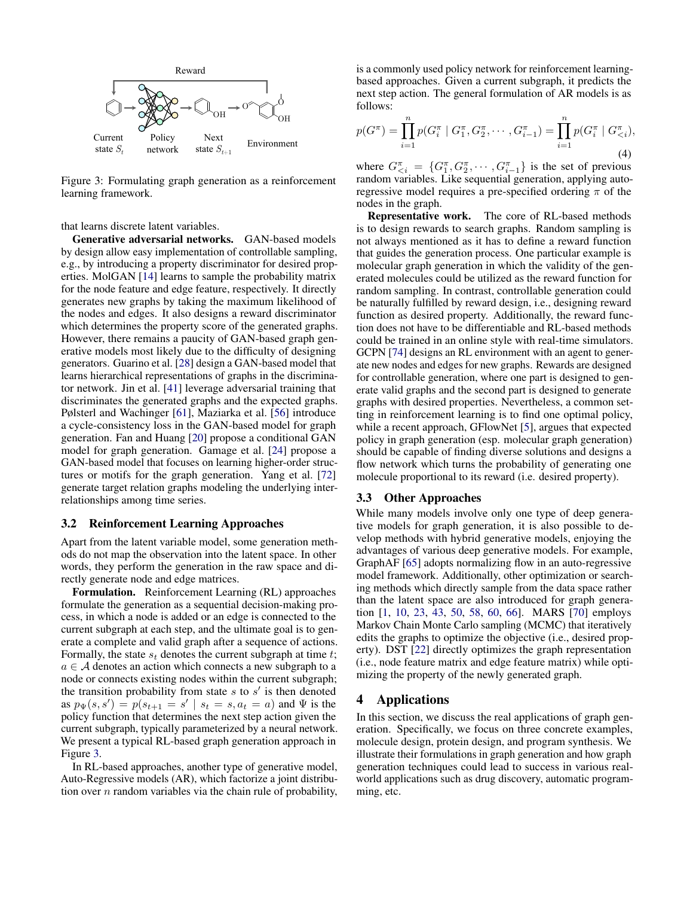

Figure 3: Formulating graph generation as a reinforcement learning framework.

that learns discrete latent variables.

Generative adversarial networks. GAN-based models by design allow easy implementation of controllable sampling, e.g., by introducing a property discriminator for desired properties. MolGAN [\[14\]](#page-6-2) learns to sample the probability matrix for the node feature and edge feature, respectively. It directly generates new graphs by taking the maximum likelihood of the nodes and edges. It also designs a reward discriminator which determines the property score of the generated graphs. However, there remains a paucity of GAN-based graph generative models most likely due to the difficulty of designing generators. Guarino et al. [\[28\]](#page-7-23) design a GAN-based model that learns hierarchical representations of graphs in the discriminator network. Jin et al. [\[41\]](#page-7-24) leverage adversarial training that discriminates the generated graphs and the expected graphs. Pølsterl and Wachinger [\[61\]](#page-7-25), Maziarka et al. [\[56\]](#page-7-26) introduce a cycle-consistency loss in the GAN-based model for graph generation. Fan and Huang [\[20\]](#page-6-15) propose a conditional GAN model for graph generation. Gamage et al. [\[24\]](#page-6-16) propose a GAN-based model that focuses on learning higher-order structures or motifs for the graph generation. Yang et al. [\[72\]](#page-8-12) generate target relation graphs modeling the underlying interrelationships among time series.

#### 3.2 Reinforcement Learning Approaches

Apart from the latent variable model, some generation methods do not map the observation into the latent space. In other words, they perform the generation in the raw space and directly generate node and edge matrices.

Formulation. Reinforcement Learning (RL) approaches formulate the generation as a sequential decision-making process, in which a node is added or an edge is connected to the current subgraph at each step, and the ultimate goal is to generate a complete and valid graph after a sequence of actions. Formally, the state  $s_t$  denotes the current subgraph at time  $t$ ;  $a \in \mathcal{A}$  denotes an action which connects a new subgraph to a node or connects existing nodes within the current subgraph; the transition probability from state  $s$  to  $s'$  is then denoted as  $p_{\Psi}(s, s') = p(s_{t+1} = s' | s_t = s, a_t = a)$  and  $\Psi$  is the policy function that determines the next step action given the current subgraph, typically parameterized by a neural network. We present a typical RL-based graph generation approach in Figure [3.](#page-4-1)

In RL-based approaches, another type of generative model, Auto-Regressive models (AR), which factorize a joint distribution over  $n$  random variables via the chain rule of probability, is a commonly used policy network for reinforcement learningbased approaches. Given a current subgraph, it predicts the next step action. The general formulation of AR models is as follows:

$$
p(G^{\pi}) = \prod_{i=1}^{n} p(G_i^{\pi} \mid G_1^{\pi}, G_2^{\pi}, \cdots, G_{i-1}^{\pi}) = \prod_{i=1}^{n} p(G_i^{\pi} \mid G_{\leq i}^{\pi}),
$$
\n(4)

<span id="page-4-1"></span>where  $G_{\leq i}^{\pi} = \{G_1^{\pi}, G_2^{\pi}, \cdots, G_{i-1}^{\pi}\}\$  is the set of previous random variables. Like sequential generation, applying autoregressive model requires a pre-specified ordering  $\pi$  of the nodes in the graph.

Representative work. The core of RL-based methods is to design rewards to search graphs. Random sampling is not always mentioned as it has to define a reward function that guides the generation process. One particular example is molecular graph generation in which the validity of the generated molecules could be utilized as the reward function for random sampling. In contrast, controllable generation could be naturally fulfilled by reward design, i.e., designing reward function as desired property. Additionally, the reward function does not have to be differentiable and RL-based methods could be trained in an online style with real-time simulators. GCPN [\[74\]](#page-8-3) designs an RL environment with an agent to generate new nodes and edges for new graphs. Rewards are designed for controllable generation, where one part is designed to generate valid graphs and the second part is designed to generate graphs with desired properties. Nevertheless, a common setting in reinforcement learning is to find one optimal policy, while a recent approach, GFlowNet [\[5\]](#page-6-17), argues that expected policy in graph generation (esp. molecular graph generation) should be capable of finding diverse solutions and designs a flow network which turns the probability of generating one molecule proportional to its reward (i.e. desired property).

### 3.3 Other Approaches

While many models involve only one type of deep generative models for graph generation, it is also possible to develop methods with hybrid generative models, enjoying the advantages of various deep generative models. For example, GraphAF [\[65\]](#page-7-27) adopts normalizing flow in an auto-regressive model framework. Additionally, other optimization or searching methods which directly sample from the data space rather than the latent space are also introduced for graph generation [\[1,](#page-6-18) [10,](#page-6-19) [23,](#page-6-20) [43,](#page-7-28) [50,](#page-7-29) [58,](#page-7-30) [60,](#page-7-31) [66\]](#page-8-13). MARS [\[70\]](#page-8-2) employs Markov Chain Monte Carlo sampling (MCMC) that iteratively edits the graphs to optimize the objective (i.e., desired property). DST [\[22\]](#page-6-3) directly optimizes the graph representation (i.e., node feature matrix and edge feature matrix) while optimizing the property of the newly generated graph.

# <span id="page-4-0"></span>4 Applications

In this section, we discuss the real applications of graph generation. Specifically, we focus on three concrete examples, molecule design, protein design, and program synthesis. We illustrate their formulations in graph generation and how graph generation techniques could lead to success in various realworld applications such as drug discovery, automatic programming, etc.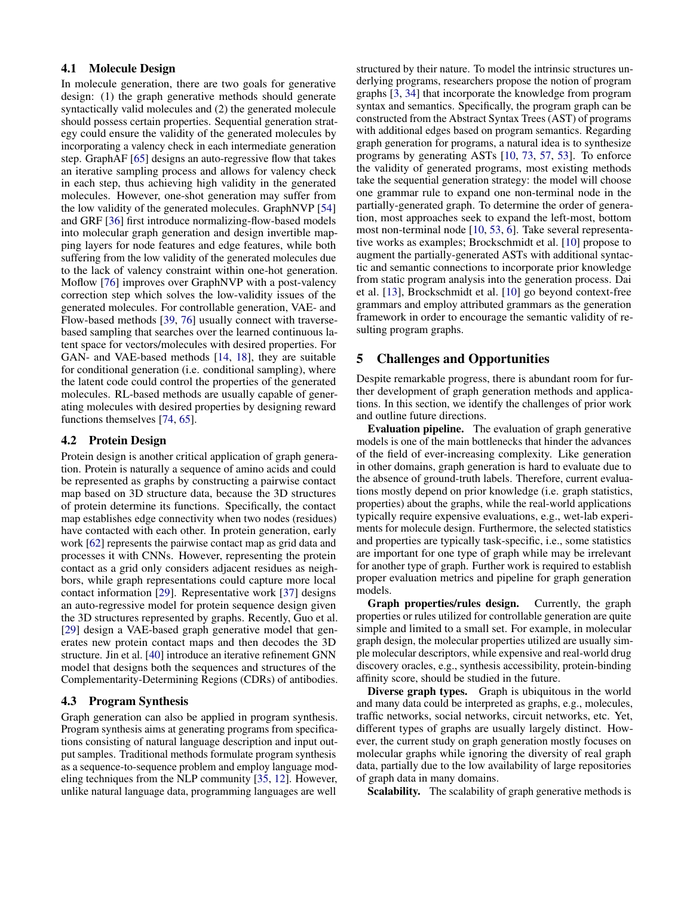### 4.1 Molecule Design

In molecule generation, there are two goals for generative design: (1) the graph generative methods should generate syntactically valid molecules and (2) the generated molecule should possess certain properties. Sequential generation strategy could ensure the validity of the generated molecules by incorporating a valency check in each intermediate generation step. GraphAF [\[65\]](#page-7-27) designs an auto-regressive flow that takes an iterative sampling process and allows for valency check in each step, thus achieving high validity in the generated molecules. However, one-shot generation may suffer from the low validity of the generated molecules. GraphNVP [\[54\]](#page-7-21) and GRF [\[36\]](#page-7-32) first introduce normalizing-flow-based models into molecular graph generation and design invertible mapping layers for node features and edge features, while both suffering from the low validity of the generated molecules due to the lack of valency constraint within one-hot generation. Moflow [\[76\]](#page-8-1) improves over GraphNVP with a post-valency correction step which solves the low-validity issues of the generated molecules. For controllable generation, VAE- and Flow-based methods [\[39,](#page-7-16) [76\]](#page-8-1) usually connect with traversebased sampling that searches over the learned continuous latent space for vectors/molecules with desired properties. For GAN- and VAE-based methods [\[14,](#page-6-2) [18\]](#page-6-12), they are suitable for conditional generation (i.e. conditional sampling), where the latent code could control the properties of the generated molecules. RL-based methods are usually capable of generating molecules with desired properties by designing reward functions themselves [\[74,](#page-8-3) [65\]](#page-7-27).

# 4.2 Protein Design

Protein design is another critical application of graph generation. Protein is naturally a sequence of amino acids and could be represented as graphs by constructing a pairwise contact map based on 3D structure data, because the 3D structures of protein determine its functions. Specifically, the contact map establishes edge connectivity when two nodes (residues) have contacted with each other. In protein generation, early work [\[62\]](#page-7-33) represents the pairwise contact map as grid data and processes it with CNNs. However, representing the protein contact as a grid only considers adjacent residues as neighbors, while graph representations could capture more local contact information [\[29\]](#page-7-13). Representative work [\[37\]](#page-7-34) designs an auto-regressive model for protein sequence design given the 3D structures represented by graphs. Recently, Guo et al. [\[29\]](#page-7-13) design a VAE-based graph generative model that generates new protein contact maps and then decodes the 3D structure. Jin et al. [\[40\]](#page-7-35) introduce an iterative refinement GNN model that designs both the sequences and structures of the Complementarity-Determining Regions (CDRs) of antibodies.

### 4.3 Program Synthesis

Graph generation can also be applied in program synthesis. Program synthesis aims at generating programs from specifications consisting of natural language description and input output samples. Traditional methods formulate program synthesis as a sequence-to-sequence problem and employ language modeling techniques from the NLP community [\[35,](#page-7-36) [12\]](#page-6-21). However, unlike natural language data, programming languages are well

structured by their nature. To model the intrinsic structures underlying programs, researchers propose the notion of program graphs [\[3,](#page-6-22) [34\]](#page-7-37) that incorporate the knowledge from program syntax and semantics. Specifically, the program graph can be constructed from the Abstract Syntax Trees (AST) of programs with additional edges based on program semantics. Regarding graph generation for programs, a natural idea is to synthesize programs by generating ASTs [\[10,](#page-6-19) [73,](#page-8-14) [57,](#page-7-38) [53\]](#page-7-39). To enforce the validity of generated programs, most existing methods take the sequential generation strategy: the model will choose one grammar rule to expand one non-terminal node in the partially-generated graph. To determine the order of generation, most approaches seek to expand the left-most, bottom most non-terminal node [\[10,](#page-6-19) [53,](#page-7-39) [6\]](#page-6-23). Take several representative works as examples; Brockschmidt et al. [\[10\]](#page-6-19) propose to augment the partially-generated ASTs with additional syntactic and semantic connections to incorporate prior knowledge from static program analysis into the generation process. Dai et al. [\[13\]](#page-6-24), Brockschmidt et al. [\[10\]](#page-6-19) go beyond context-free grammars and employ attributed grammars as the generation framework in order to encourage the semantic validity of resulting program graphs.

# <span id="page-5-0"></span>5 Challenges and Opportunities

Despite remarkable progress, there is abundant room for further development of graph generation methods and applications. In this section, we identify the challenges of prior work and outline future directions.

Evaluation pipeline. The evaluation of graph generative models is one of the main bottlenecks that hinder the advances of the field of ever-increasing complexity. Like generation in other domains, graph generation is hard to evaluate due to the absence of ground-truth labels. Therefore, current evaluations mostly depend on prior knowledge (i.e. graph statistics, properties) about the graphs, while the real-world applications typically require expensive evaluations, e.g., wet-lab experiments for molecule design. Furthermore, the selected statistics and properties are typically task-specific, i.e., some statistics are important for one type of graph while may be irrelevant for another type of graph. Further work is required to establish proper evaluation metrics and pipeline for graph generation models.

Graph properties/rules design. Currently, the graph properties or rules utilized for controllable generation are quite simple and limited to a small set. For example, in molecular graph design, the molecular properties utilized are usually simple molecular descriptors, while expensive and real-world drug discovery oracles, e.g., synthesis accessibility, protein-binding affinity score, should be studied in the future.

Diverse graph types. Graph is ubiquitous in the world and many data could be interpreted as graphs, e.g., molecules, traffic networks, social networks, circuit networks, etc. Yet, different types of graphs are usually largely distinct. However, the current study on graph generation mostly focuses on molecular graphs while ignoring the diversity of real graph data, partially due to the low availability of large repositories of graph data in many domains.

Scalability. The scalability of graph generative methods is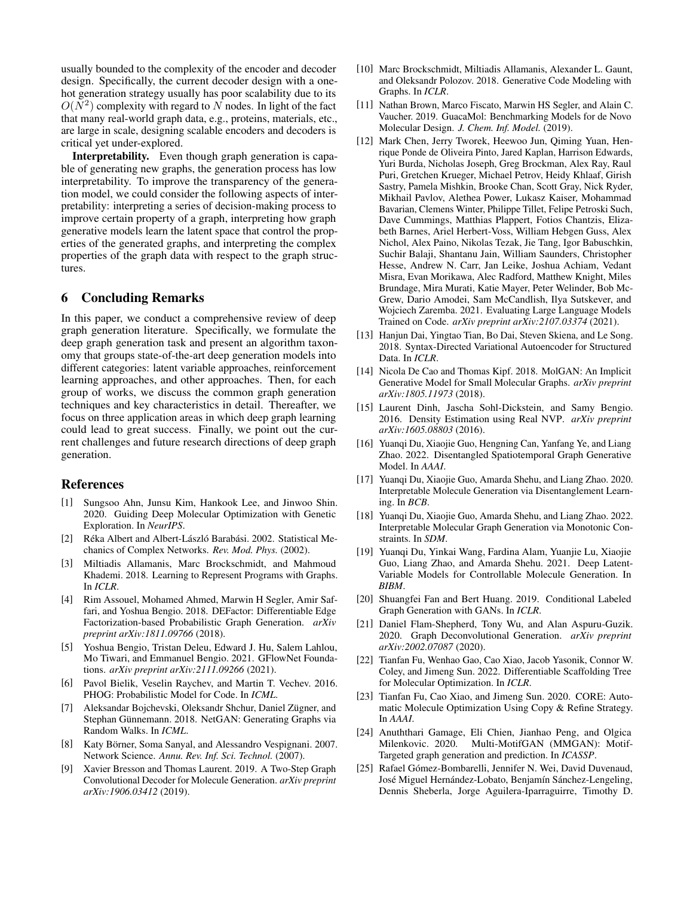usually bounded to the complexity of the encoder and decoder design. Specifically, the current decoder design with a onehot generation strategy usually has poor scalability due to its  $O(N^2)$  complexity with regard to N nodes. In light of the fact that many real-world graph data, e.g., proteins, materials, etc., are large in scale, designing scalable encoders and decoders is critical yet under-explored.

Interpretability. Even though graph generation is capable of generating new graphs, the generation process has low interpretability. To improve the transparency of the generation model, we could consider the following aspects of interpretability: interpreting a series of decision-making process to improve certain property of a graph, interpreting how graph generative models learn the latent space that control the properties of the generated graphs, and interpreting the complex properties of the graph data with respect to the graph structures.

# 6 Concluding Remarks

In this paper, we conduct a comprehensive review of deep graph generation literature. Specifically, we formulate the deep graph generation task and present an algorithm taxonomy that groups state-of-the-art deep generation models into different categories: latent variable approaches, reinforcement learning approaches, and other approaches. Then, for each group of works, we discuss the common graph generation techniques and key characteristics in detail. Thereafter, we focus on three application areas in which deep graph learning could lead to great success. Finally, we point out the current challenges and future research directions of deep graph generation.

# References

- <span id="page-6-18"></span>[1] Sungsoo Ahn, Junsu Kim, Hankook Lee, and Jinwoo Shin. 2020. Guiding Deep Molecular Optimization with Genetic Exploration. In *NeurIPS*.
- <span id="page-6-1"></span>[2] Réka Albert and Albert-László Barabási. 2002. Statistical Mechanics of Complex Networks. *Rev. Mod. Phys.* (2002).
- <span id="page-6-22"></span>[3] Miltiadis Allamanis, Marc Brockschmidt, and Mahmoud Khademi. 2018. Learning to Represent Programs with Graphs. In *ICLR*.
- <span id="page-6-7"></span>[4] Rim Assouel, Mohamed Ahmed, Marwin H Segler, Amir Saffari, and Yoshua Bengio. 2018. DEFactor: Differentiable Edge Factorization-based Probabilistic Graph Generation. *arXiv preprint arXiv:1811.09766* (2018).
- <span id="page-6-17"></span>[5] Yoshua Bengio, Tristan Deleu, Edward J. Hu, Salem Lahlou, Mo Tiwari, and Emmanuel Bengio. 2021. GFlowNet Foundations. *arXiv preprint arXiv:2111.09266* (2021).
- <span id="page-6-23"></span>[6] Pavol Bielik, Veselin Raychev, and Martin T. Vechev. 2016. PHOG: Probabilistic Model for Code. In *ICML*.
- <span id="page-6-4"></span>[7] Aleksandar Bojchevski, Oleksandr Shchur, Daniel Zügner, and Stephan Günnemann. 2018. NetGAN: Generating Graphs via Random Walks. In *ICML*.
- <span id="page-6-0"></span>Katy Börner, Soma Sanyal, and Alessandro Vespignani. 2007. Network Science. *Annu. Rev. Inf. Sci. Technol.* (2007).
- <span id="page-6-10"></span>[9] Xavier Bresson and Thomas Laurent. 2019. A Two-Step Graph Convolutional Decoder for Molecule Generation. *arXiv preprint arXiv:1906.03412* (2019).
- <span id="page-6-19"></span>[10] Marc Brockschmidt, Miltiadis Allamanis, Alexander L. Gaunt, and Oleksandr Polozov. 2018. Generative Code Modeling with Graphs. In *ICLR*.
- <span id="page-6-5"></span>[11] Nathan Brown, Marco Fiscato, Marwin HS Segler, and Alain C. Vaucher. 2019. GuacaMol: Benchmarking Models for de Novo Molecular Design. *J. Chem. Inf. Model.* (2019).
- <span id="page-6-21"></span>[12] Mark Chen, Jerry Tworek, Heewoo Jun, Qiming Yuan, Henrique Ponde de Oliveira Pinto, Jared Kaplan, Harrison Edwards, Yuri Burda, Nicholas Joseph, Greg Brockman, Alex Ray, Raul Puri, Gretchen Krueger, Michael Petrov, Heidy Khlaaf, Girish Sastry, Pamela Mishkin, Brooke Chan, Scott Gray, Nick Ryder, Mikhail Pavlov, Alethea Power, Lukasz Kaiser, Mohammad Bavarian, Clemens Winter, Philippe Tillet, Felipe Petroski Such, Dave Cummings, Matthias Plappert, Fotios Chantzis, Elizabeth Barnes, Ariel Herbert-Voss, William Hebgen Guss, Alex Nichol, Alex Paino, Nikolas Tezak, Jie Tang, Igor Babuschkin, Suchir Balaji, Shantanu Jain, William Saunders, Christopher Hesse, Andrew N. Carr, Jan Leike, Joshua Achiam, Vedant Misra, Evan Morikawa, Alec Radford, Matthew Knight, Miles Brundage, Mira Murati, Katie Mayer, Peter Welinder, Bob Mc-Grew, Dario Amodei, Sam McCandlish, Ilya Sutskever, and Wojciech Zaremba. 2021. Evaluating Large Language Models Trained on Code. *arXiv preprint arXiv:2107.03374* (2021).
- <span id="page-6-24"></span>[13] Hanjun Dai, Yingtao Tian, Bo Dai, Steven Skiena, and Le Song. 2018. Syntax-Directed Variational Autoencoder for Structured Data. In *ICLR*.
- <span id="page-6-2"></span>[14] Nicola De Cao and Thomas Kipf. 2018. MolGAN: An Implicit Generative Model for Small Molecular Graphs. *arXiv preprint arXiv:1805.11973* (2018).
- <span id="page-6-6"></span>[15] Laurent Dinh, Jascha Sohl-Dickstein, and Samy Bengio. 2016. Density Estimation using Real NVP. *arXiv preprint arXiv:1605.08803* (2016).
- <span id="page-6-9"></span>[16] Yuanqi Du, Xiaojie Guo, Hengning Can, Yanfang Ye, and Liang Zhao. 2022. Disentangled Spatiotemporal Graph Generative Model. In *AAAI*.
- <span id="page-6-11"></span>[17] Yuanqi Du, Xiaojie Guo, Amarda Shehu, and Liang Zhao. 2020. Interpretable Molecule Generation via Disentanglement Learning. In *BCB*.
- <span id="page-6-12"></span>[18] Yuanqi Du, Xiaojie Guo, Amarda Shehu, and Liang Zhao. 2022. Interpretable Molecular Graph Generation via Monotonic Constraints. In *SDM*.
- <span id="page-6-13"></span>[19] Yuanqi Du, Yinkai Wang, Fardina Alam, Yuanjie Lu, Xiaojie Guo, Liang Zhao, and Amarda Shehu. 2021. Deep Latent-Variable Models for Controllable Molecule Generation. In *BIBM*.
- <span id="page-6-15"></span>[20] Shuangfei Fan and Bert Huang. 2019. Conditional Labeled Graph Generation with GANs. In *ICLR*.
- <span id="page-6-8"></span>[21] Daniel Flam-Shepherd, Tony Wu, and Alan Aspuru-Guzik. 2020. Graph Deconvolutional Generation. *arXiv preprint arXiv:2002.07087* (2020).
- <span id="page-6-3"></span>[22] Tianfan Fu, Wenhao Gao, Cao Xiao, Jacob Yasonik, Connor W. Coley, and Jimeng Sun. 2022. Differentiable Scaffolding Tree for Molecular Optimization. In *ICLR*.
- <span id="page-6-20"></span>[23] Tianfan Fu, Cao Xiao, and Jimeng Sun. 2020. CORE: Automatic Molecule Optimization Using Copy & Refine Strategy. In *AAAI*.
- <span id="page-6-16"></span>[24] Anuththari Gamage, Eli Chien, Jianhao Peng, and Olgica Milenkovic. 2020. Multi-MotifGAN (MMGAN): Motif-Targeted graph generation and prediction. In *ICASSP*.
- <span id="page-6-14"></span>[25] Rafael Gómez-Bombarelli, Jennifer N. Wei, David Duvenaud, José Miguel Hernández-Lobato, Benjamín Sánchez-Lengeling, Dennis Sheberla, Jorge Aguilera-Iparraguirre, Timothy D.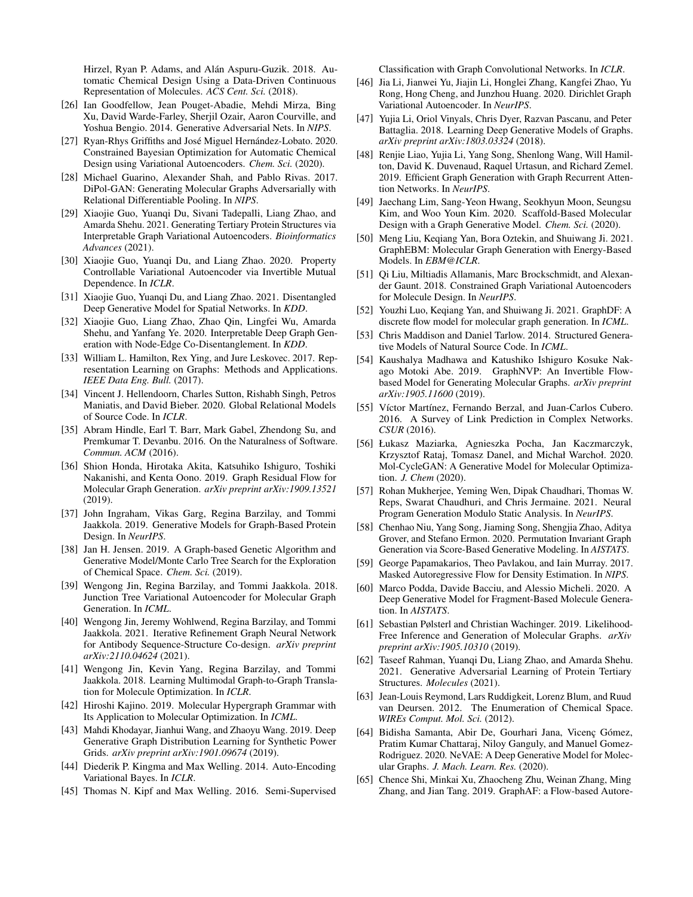Hirzel, Ryan P. Adams, and Alán Aspuru-Guzik. 2018. Automatic Chemical Design Using a Data-Driven Continuous Representation of Molecules. *ACS Cent. Sci.* (2018).

- <span id="page-7-9"></span>[26] Ian Goodfellow, Jean Pouget-Abadie, Mehdi Mirza, Bing Xu, David Warde-Farley, Sherjil Ozair, Aaron Courville, and Yoshua Bengio. 2014. Generative Adversarial Nets. In *NIPS*.
- <span id="page-7-15"></span>[27] Ryan-Rhys Griffiths and José Miguel Hernández-Lobato. 2020. Constrained Bayesian Optimization for Automatic Chemical Design using Variational Autoencoders. *Chem. Sci.* (2020).
- <span id="page-7-23"></span>[28] Michael Guarino, Alexander Shah, and Pablo Rivas. 2017. DiPol-GAN: Generating Molecular Graphs Adversarially with Relational Differentiable Pooling. In *NIPS*.
- <span id="page-7-13"></span>[29] Xiaojie Guo, Yuanqi Du, Sivani Tadepalli, Liang Zhao, and Amarda Shehu. 2021. Generating Tertiary Protein Structures via Interpretable Graph Variational Autoencoders. *Bioinformatics Advances* (2021).
- <span id="page-7-12"></span>[30] Xiaojie Guo, Yuanqi Du, and Liang Zhao. 2020. Property Controllable Variational Autoencoder via Invertible Mutual Dependence. In *ICLR*.
- <span id="page-7-14"></span>[31] Xiaojie Guo, Yuanqi Du, and Liang Zhao. 2021. Disentangled Deep Generative Model for Spatial Networks. In *KDD*.
- <span id="page-7-10"></span>[32] Xiaojie Guo, Liang Zhao, Zhao Qin, Lingfei Wu, Amarda Shehu, and Yanfang Ye. 2020. Interpretable Deep Graph Generation with Node-Edge Co-Disentanglement. In *KDD*.
- <span id="page-7-4"></span>[33] William L. Hamilton, Rex Ying, and Jure Leskovec. 2017. Representation Learning on Graphs: Methods and Applications. *IEEE Data Eng. Bull.* (2017).
- <span id="page-7-37"></span>[34] Vincent J. Hellendoorn, Charles Sutton, Rishabh Singh, Petros Maniatis, and David Bieber. 2020. Global Relational Models of Source Code. In *ICLR*.
- <span id="page-7-36"></span>[35] Abram Hindle, Earl T. Barr, Mark Gabel, Zhendong Su, and Premkumar T. Devanbu. 2016. On the Naturalness of Software. *Commun. ACM* (2016).
- <span id="page-7-32"></span>[36] Shion Honda, Hirotaka Akita, Katsuhiko Ishiguro, Toshiki Nakanishi, and Kenta Oono. 2019. Graph Residual Flow for Molecular Graph Generation. *arXiv preprint arXiv:1909.13521* (2019).
- <span id="page-7-34"></span>[37] John Ingraham, Vikas Garg, Regina Barzilay, and Tommi Jaakkola. 2019. Generative Models for Graph-Based Protein Design. In *NeurIPS*.
- <span id="page-7-1"></span>[38] Jan H. Jensen. 2019. A Graph-based Genetic Algorithm and Generative Model/Monte Carlo Tree Search for the Exploration of Chemical Space. *Chem. Sci.* (2019).
- <span id="page-7-16"></span>[39] Wengong Jin, Regina Barzilay, and Tommi Jaakkola. 2018. Junction Tree Variational Autoencoder for Molecular Graph Generation. In *ICML*.
- <span id="page-7-35"></span>[40] Wengong Jin, Jeremy Wohlwend, Regina Barzilay, and Tommi Jaakkola. 2021. Iterative Refinement Graph Neural Network for Antibody Sequence-Structure Co-design. *arXiv preprint arXiv:2110.04624* (2021).
- <span id="page-7-24"></span>[41] Wengong Jin, Kevin Yang, Regina Barzilay, and Tommi Jaakkola. 2018. Learning Multimodal Graph-to-Graph Translation for Molecule Optimization. In *ICLR*.
- <span id="page-7-17"></span>[42] Hiroshi Kajino. 2019. Molecular Hypergraph Grammar with Its Application to Molecular Optimization. In *ICML*.
- <span id="page-7-28"></span>[43] Mahdi Khodayar, Jianhui Wang, and Zhaoyu Wang. 2019. Deep Generative Graph Distribution Learning for Synthetic Power Grids. *arXiv preprint arXiv:1901.09674* (2019).
- <span id="page-7-6"></span>[44] Diederik P. Kingma and Max Welling. 2014. Auto-Encoding Variational Bayes. In *ICLR*.
- <span id="page-7-7"></span>[45] Thomas N. Kipf and Max Welling. 2016. Semi-Supervised

Classification with Graph Convolutional Networks. In *ICLR*.

- <span id="page-7-20"></span>[46] Jia Li, Jianwei Yu, Jiajin Li, Honglei Zhang, Kangfei Zhao, Yu Rong, Hong Cheng, and Junzhou Huang. 2020. Dirichlet Graph Variational Autoencoder. In *NeurIPS*.
- <span id="page-7-2"></span>[47] Yujia Li, Oriol Vinyals, Chris Dyer, Razvan Pascanu, and Peter Battaglia. 2018. Learning Deep Generative Models of Graphs. *arXiv preprint arXiv:1803.03324* (2018).
- <span id="page-7-3"></span>[48] Renjie Liao, Yujia Li, Yang Song, Shenlong Wang, Will Hamilton, David K. Duvenaud, Raquel Urtasun, and Richard Zemel. 2019. Efficient Graph Generation with Graph Recurrent Attention Networks. In *NeurIPS*.
- <span id="page-7-19"></span>[49] Jaechang Lim, Sang-Yeon Hwang, Seokhyun Moon, Seungsu Kim, and Woo Youn Kim. 2020. Scaffold-Based Molecular Design with a Graph Generative Model. *Chem. Sci.* (2020).
- <span id="page-7-29"></span>[50] Meng Liu, Keqiang Yan, Bora Oztekin, and Shuiwang Ji. 2021. GraphEBM: Molecular Graph Generation with Energy-Based Models. In *EBM@ICLR*.
- <span id="page-7-11"></span>[51] Qi Liu, Miltiadis Allamanis, Marc Brockschmidt, and Alexander Gaunt. 2018. Constrained Graph Variational Autoencoders for Molecule Design. In *NeurIPS*.
- <span id="page-7-22"></span>[52] Youzhi Luo, Keqiang Yan, and Shuiwang Ji. 2021. GraphDF: A discrete flow model for molecular graph generation. In *ICML*.
- <span id="page-7-39"></span>[53] Chris Maddison and Daniel Tarlow. 2014. Structured Generative Models of Natural Source Code. In *ICML*.
- <span id="page-7-21"></span>[54] Kaushalya Madhawa and Katushiko Ishiguro Kosuke Nakago Motoki Abe. 2019. GraphNVP: An Invertible Flowbased Model for Generating Molecular Graphs. *arXiv preprint arXiv:1905.11600* (2019).
- <span id="page-7-5"></span>[55] Víctor Martínez, Fernando Berzal, and Juan-Carlos Cubero. 2016. A Survey of Link Prediction in Complex Networks. *CSUR* (2016).
- <span id="page-7-26"></span>[56] Łukasz Maziarka, Agnieszka Pocha, Jan Kaczmarczyk, Krzysztof Rataj, Tomasz Danel, and Michał Warchoł. 2020. Mol-CycleGAN: A Generative Model for Molecular Optimization. *J. Chem* (2020).
- <span id="page-7-38"></span>[57] Rohan Mukherjee, Yeming Wen, Dipak Chaudhari, Thomas W. Reps, Swarat Chaudhuri, and Chris Jermaine. 2021. Neural Program Generation Modulo Static Analysis. In *NeurIPS*.
- <span id="page-7-30"></span>[58] Chenhao Niu, Yang Song, Jiaming Song, Shengjia Zhao, Aditya Grover, and Stefano Ermon. 2020. Permutation Invariant Graph Generation via Score-Based Generative Modeling. In *AISTATS*.
- <span id="page-7-8"></span>[59] George Papamakarios, Theo Pavlakou, and Iain Murray. 2017. Masked Autoregressive Flow for Density Estimation. In *NIPS*.
- <span id="page-7-31"></span>[60] Marco Podda, Davide Bacciu, and Alessio Micheli. 2020. A Deep Generative Model for Fragment-Based Molecule Generation. In *AISTATS*.
- <span id="page-7-25"></span>[61] Sebastian Pølsterl and Christian Wachinger. 2019. Likelihood-Free Inference and Generation of Molecular Graphs. *arXiv preprint arXiv:1905.10310* (2019).
- <span id="page-7-33"></span>[62] Taseef Rahman, Yuanqi Du, Liang Zhao, and Amarda Shehu. 2021. Generative Adversarial Learning of Protein Tertiary Structures. *Molecules* (2021).
- <span id="page-7-0"></span>[63] Jean-Louis Reymond, Lars Ruddigkeit, Lorenz Blum, and Ruud van Deursen. 2012. The Enumeration of Chemical Space. *WIREs Comput. Mol. Sci.* (2012).
- <span id="page-7-18"></span>[64] Bidisha Samanta, Abir De, Gourhari Jana, Vicenç Gómez, Pratim Kumar Chattaraj, Niloy Ganguly, and Manuel Gomez-Rodriguez. 2020. NeVAE: A Deep Generative Model for Molecular Graphs. *J. Mach. Learn. Res.* (2020).
- <span id="page-7-27"></span>[65] Chence Shi, Minkai Xu, Zhaocheng Zhu, Weinan Zhang, Ming Zhang, and Jian Tang. 2019. GraphAF: a Flow-based Autore-